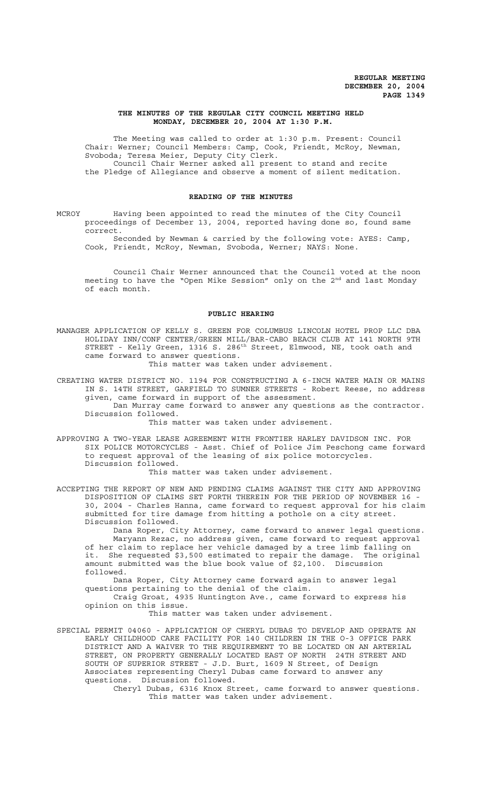#### **THE MINUTES OF THE REGULAR CITY COUNCIL MEETING HELD MONDAY, DECEMBER 20, 2004 AT 1:30 P.M.**

The Meeting was called to order at 1:30 p.m. Present: Council Chair: Werner; Council Members: Camp, Cook, Friendt, McRoy, Newman, Svoboda; Teresa Meier, Deputy City Clerk. Council Chair Werner asked all present to stand and recite the Pledge of Allegiance and observe a moment of silent meditation.

#### **READING OF THE MINUTES**

MCROY Having been appointed to read the minutes of the City Council proceedings of December 13, 2004, reported having done so, found same correct.

Seconded by Newman & carried by the following vote: AYES: Camp, Cook, Friendt, McRoy, Newman, Svoboda, Werner; NAYS: None.

Council Chair Werner announced that the Council voted at the noon meeting to have the "Open Mike Session" only on the 2<sup>nd</sup> and last Monday of each month.

#### **PUBLIC HEARING**

MANAGER APPLICATION OF KELLY S. GREEN FOR COLUMBUS LINCOLN HOTEL PROP LLC DBA HOLIDAY INN/CONF CENTER/GREEN MILL/BAR-CABO BEACH CLUB AT 141 NORTH 9TH STREET - Kelly Green, 1316 S. 286<sup>th</sup> Street, Elmwood, NE, took oath and came forward to answer questions.

This matter was taken under advisement.

CREATING WATER DISTRICT NO. 1194 FOR CONSTRUCTING A 6-INCH WATER MAIN OR MAINS IN S. 14TH STREET, GARFIELD TO SUMNER STREETS - Robert Reese, no address given, came forward in support of the assessment.

Dan Murray came forward to answer any questions as the contractor. Discussion followed.

This matter was taken under advisement.

APPROVING A TWO-YEAR LEASE AGREEMENT WITH FRONTIER HARLEY DAVIDSON INC. FOR SIX POLICE MOTORCYCLES - Asst. Chief of Police Jim Peschong came forward to request approval of the leasing of six police motorcycles. Discussion followed.

This matter was taken under advisement.

ACCEPTING THE REPORT OF NEW AND PENDING CLAIMS AGAINST THE CITY AND APPROVING DISPOSITION OF CLAIMS SET FORTH THEREIN FOR THE PERIOD OF NOVEMBER 16 - 30, 2004 - Charles Hanna, came forward to request approval for his claim submitted for tire damage from hitting a pothole on a city street. Discussion followed.

Dana Roper, City Attorney, came forward to answer legal questions. Maryann Rezac, no address given, came forward to request approval of her claim to replace her vehicle damaged by a tree limb falling on it. She requested \$3,500 estimated to repair the damage. The original amount submitted was the blue book value of \$2,100. Discussion followed.

Dana Roper, City Attorney came forward again to answer legal questions pertaining to the denial of the claim.

Craig Groat, 4935 Huntington Ave., came forward to express his opinion on this issue.

This matter was taken under advisement.

SPECIAL PERMIT 04060 - APPLICATION OF CHERYL DUBAS TO DEVELOP AND OPERATE AN EARLY CHILDHOOD CARE FACILITY FOR 140 CHILDREN IN THE O-3 OFFICE PARK DISTRICT AND A WAIVER TO THE REQUIREMENT TO BE LOCATED ON AN ARTERIAL STREET, ON PROPERTY GENERALLY LOCATED EAST OF NORTH 24TH STREET AND SOUTH OF SUPERIOR STREET - J.D. Burt, 1609 N Street, of Design Associates representing Cheryl Dubas came forward to answer any questions. Discussion followed.

Cheryl Dubas, 6316 Knox Street, came forward to answer questions. This matter was taken under advisement.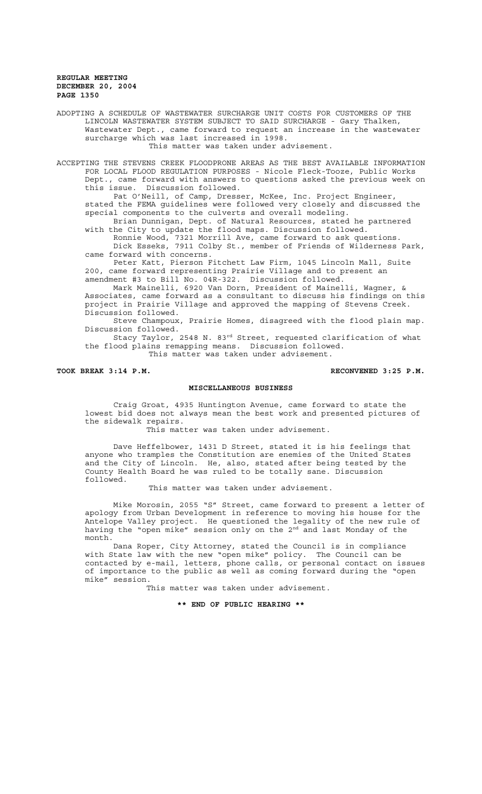ADOPTING A SCHEDULE OF WASTEWATER SURCHARGE UNIT COSTS FOR CUSTOMERS OF THE LINCOLN WASTEWATER SYSTEM SUBJECT TO SAID SURCHARGE - Gary Thalken, Wastewater Dept., came forward to request an increase in the wastewater surcharge which was last increased in 1998. This matter was taken under advisement.

ACCEPTING THE STEVENS CREEK FLOODPRONE AREAS AS THE BEST AVAILABLE INFORMATION FOR LOCAL FLOOD REGULATION PURPOSES - Nicole Fleck-Tooze, Public Works Dept., came forward with answers to questions asked the previous week on this issue. Discussion followed.

Pat O'Neill, of Camp, Dresser, McKee, Inc. Project Engineer, stated the FEMA guidelines were followed very closely and discussed the special components to the culverts and overall modeling. Brian Dunnigan, Dept. of Natural Resources, stated he partnered

with the City to update the flood maps. Discussion followed.

Ronnie Wood, 7321 Morrill Ave, came forward to ask questions. Dick Esseks, 7911 Colby St., member of Friends of Wilderness Park, came forward with concerns.

Peter Katt, Pierson Fitchett Law Firm, 1045 Lincoln Mall, Suite 200, came forward representing Prairie Village and to present an amendment #3 to Bill No. 04R-322. Discussion followed.

Mark Mainelli, 6920 Van Dorn, President of Mainelli, Wagner, & Associates, came forward as a consultant to discuss his findings on this project in Prairie Village and approved the mapping of Stevens Creek. Discussion followed.

Steve Champoux, Prairie Homes, disagreed with the flood plain map. Discussion followed.

Stacy Taylor, 2548 N. 83rd Street, requested clarification of what the flood plains remapping means. Discussion followed. This matter was taken under advisement.

#### **TOOK BREAK 3:14 P.M. RECONVENED 3:25 P.M.**

# **MISCELLANEOUS BUSINESS**

Craig Groat, 4935 Huntington Avenue, came forward to state the lowest bid does not always mean the best work and presented pictures of the sidewalk repairs.

This matter was taken under advisement.

Dave Heffelbower, 1431 D Street, stated it is his feelings that anyone who tramples the Constitution are enemies of the United States and the City of Lincoln. He, also, stated after being tested by the County Health Board he was ruled to be totally sane. Discussion followed.

This matter was taken under advisement.

Mike Morosin, 2055 "S" Street, came forward to present a letter of apology from Urban Development in reference to moving his house for the Antelope Valley project. He questioned the legality of the new rule of having the "open mike" session only on the 2<sup>nd</sup> and last Monday of the month.

Dana Roper, City Attorney, stated the Council is in compliance with State law with the new "open mike" policy. The Council can be contacted by e-mail, letters, phone calls, or personal contact on issues of importance to the public as well as coming forward during the "open mike" session.

This matter was taken under advisement.

**\*\* END OF PUBLIC HEARING \*\***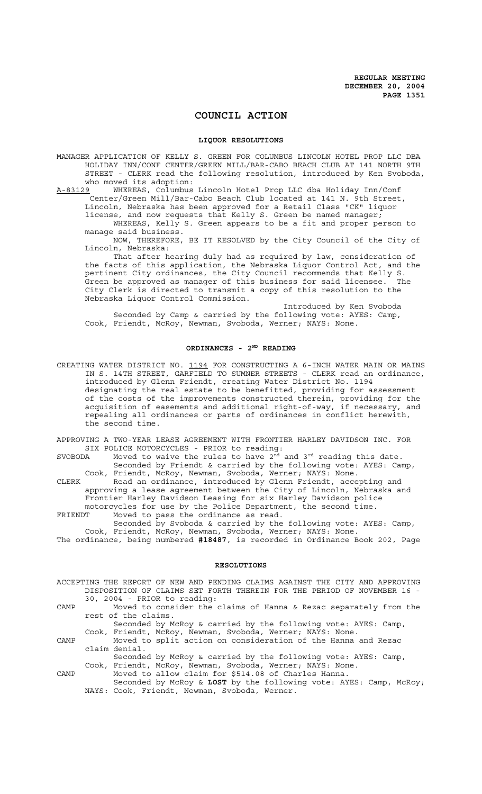# **COUNCIL ACTION**

#### **LIQUOR RESOLUTIONS**

MANAGER APPLICATION OF KELLY S. GREEN FOR COLUMBUS LINCOLN HOTEL PROP LLC DBA HOLIDAY INN/CONF CENTER/GREEN MILL/BAR-CABO BEACH CLUB AT 141 NORTH 9TH STREET - CLERK read the following resolution, introduced by Ken Svoboda, who moved its adoption:

A-83129 WHEREAS, Columbus Lincoln Hotel Prop LLC dba Holiday Inn/Conf Center/Green Mill/Bar-Cabo Beach Club located at 141 N. 9th Street, Lincoln, Nebraska has been approved for a Retail Class "CK" liquor

license, and now requests that Kelly S. Green be named manager;

WHEREAS, Kelly S. Green appears to be a fit and proper person to manage said business.

NOW, THEREFORE, BE IT RESOLVED by the City Council of the City of Lincoln, Nebraska:

That after hearing duly had as required by law, consideration of the facts of this application, the Nebraska Liquor Control Act, and the pertinent City ordinances, the City Council recommends that Kelly S. Green be approved as manager of this business for said licensee. The City Clerk is directed to transmit a copy of this resolution to the Nebraska Liquor Control Commission.

Introduced by Ken Svoboda Seconded by Camp & carried by the following vote: AYES: Camp, Cook, Friendt, McRoy, Newman, Svoboda, Werner; NAYS: None.

# **ORDINANCES - 2ND READING**

CREATING WATER DISTRICT NO. 1194 FOR CONSTRUCTING A 6-INCH WATER MAIN OR MAINS IN S. 14TH STREET, GARFIELD TO SUMNER STREETS - CLERK read an ordinance, introduced by Glenn Friendt, creating Water District No. 1194 designating the real estate to be benefitted, providing for assessment of the costs of the improvements constructed therein, providing for the acquisition of easements and additional right-of-way, if necessary, and repealing all ordinances or parts of ordinances in conflict herewith, the second time.

APPROVING A TWO-YEAR LEASE AGREEMENT WITH FRONTIER HARLEY DAVIDSON INC. FOR SIX POLICE MOTORCYCLES - PRIOR to reading:

SVOBODA Moved to waive the rules to have  $2<sup>nd</sup>$  and  $3<sup>rd</sup>$  reading this date. Seconded by Friendt & carried by the following vote: AYES: Camp, Cook, Friendt, McRoy, Newman, Svoboda, Werner; NAYS: None.

CLERK Read an ordinance, introduced by Glenn Friendt, accepting and approving a lease agreement between the City of Lincoln, Nebraska and Frontier Harley Davidson Leasing for six Harley Davidson police motorcycles for use by the Police Department, the second time.

FRIENDT Moved to pass the ordinance as read. Seconded by Svoboda & carried by the following vote: AYES: Camp, Cook, Friendt, McRoy, Newman, Svoboda, Werner; NAYS: None. The ordinance, being numbered **#18487**, is recorded in Ordinance Book 202, Page

#### **RESOLUTIONS**

|      | ACCEPTING THE REPORT OF NEW AND PENDING CLAIMS AGAINST THE CITY AND APPROVING |
|------|-------------------------------------------------------------------------------|
|      | DISPOSITION OF CLAIMS SET FORTH THEREIN FOR THE PERIOD OF NOVEMBER 16 -       |
|      | 30, 2004 - PRIOR to reading:                                                  |
| CAMP | Moved to consider the claims of Hanna & Rezac separately from the             |
|      | rest of the claims.                                                           |
|      | Seconded by McRoy & carried by the following vote: AYES: Camp,                |
|      | Cook, Friendt, McRoy, Newman, Svoboda, Werner; NAYS: None.                    |
| CAMP | Moved to split action on consideration of the Hanna and Rezac                 |
|      | claim denial.                                                                 |
|      | Seconded by McRoy & carried by the following vote: AYES: Camp,                |
|      | Cook, Friendt, McRoy, Newman, Svoboda, Werner; NAYS: None.                    |
| CAMP | Moved to allow claim for \$514.08 of Charles Hanna.                           |
|      | Seconded by McRoy & LOST by the following vote: AYES: Camp, McRoy;            |
|      | NAYS: Cook, Friendt, Newman, Svoboda, Werner.                                 |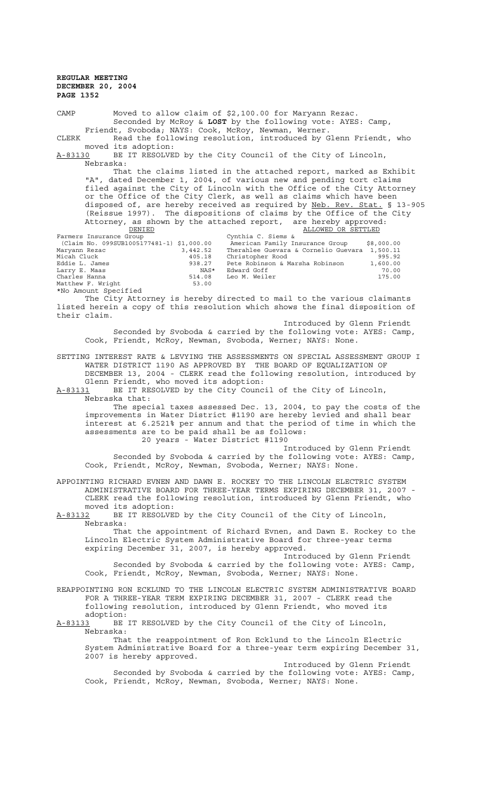CAMP Moved to allow claim of \$2,100.00 for Maryann Rezac. Seconded by McRoy & **LOST** by the following vote: AYES: Camp, Friendt, Svoboda; NAYS: Cook, McRoy, Newman, Werner. CLERK Read the following resolution, introduced by Glenn Friendt, who moved its adoption: A-83130 BE IT RESOLVED by the City Council of the City of Lincoln, Nebraska: That the claims listed in the attached report, marked as Exhibit "A", dated December 1, 2004, of various new and pending tort claims filed against the City of Lincoln with the Office of the City Attorney or the Office of the City Clerk, as well as claims which have been disposed of, are hereby received as required by Neb. Rev. Stat. § 13-905 (Reissue 1997). The dispositions of claims by the Office of the City Attorney, as shown by the attached report, are hereby approved: **DENIED DENIED** Cynthia C. Siems & **ALLOWED OR SETTLED** Cynthia C. Siems &<br>American Family Insurance Group (Claim No. 099SUB1005177481-1) \$1,000.00 American Family Insurance Group \$8,000.00<br>Maryann Rezac 3,442.52 Therahlee Guevara & Cornelio Guevara 1,500.11<br>Micah Cluck 405.18 Christopher Rood 995.92 Maryann Rezac 3,442.52 Therahlee Guevara & Cornelio Guevara 1,500.11 Micah Cluck 405.18 Christopher Rood 995.92 eddie Robinson & Marsha Robinson 1,600.00<br>NAS\* Edward Goff 70.00 Larry E. Maas NAS\* Edward Goff 70.00 Lui<sub>r</sub><br>Charles Hanna Matthew F. Wright 53.00 \*No Amount Specified The City Attorney is hereby directed to mail to the various claimants listed herein a copy of this resolution which shows the final disposition of their claim. Introduced by Glenn Friendt Seconded by Svoboda & carried by the following vote: AYES: Camp, Cook, Friendt, McRoy, Newman, Svoboda, Werner; NAYS: None. SETTING INTEREST RATE & LEVYING THE ASSESSMENTS ON SPECIAL ASSESSMENT GROUP I WATER DISTRICT 1190 AS APPROVED BY THE BOARD OF EQUALIZATION OF DECEMBER 13, 2004 - CLERK read the following resolution, introduced by Glenn Friendt, who moved its adoption:<br>A-83131 BE IT RESOLVED by the City Counc BE IT RESOLVED by the City Council of the City of Lincoln, Nebraska that: The special taxes assessed Dec. 13, 2004, to pay the costs of the improvements in Water District #1190 are hereby levied and shall bear interest at 6.2521% per annum and that the period of time in which the assessments are to be paid shall be as follows: 20 years - Water District #1190 Introduced by Glenn Friendt Seconded by Svoboda & carried by the following vote: AYES: Camp, Cook, Friendt, McRoy, Newman, Svoboda, Werner; NAYS: None. APPOINTING RICHARD EVNEN AND DAWN E. ROCKEY TO THE LINCOLN ELECTRIC SYSTEM ADMINISTRATIVE BOARD FOR THREE-YEAR TERMS EXPIRING DECEMBER 31, 2007 - CLERK read the following resolution, introduced by Glenn Friendt, who moved its adoption: A-83132 BE IT RESOLVED by the City Council of the City of Lincoln, Nebraska:

That the appointment of Richard Evnen, and Dawn E. Rockey to the Lincoln Electric System Administrative Board for three-year terms expiring December 31, 2007, is hereby approved.

Introduced by Glenn Friendt Seconded by Svoboda & carried by the following vote: AYES: Camp, Cook, Friendt, McRoy, Newman, Svoboda, Werner; NAYS: None.

REAPPOINTING RON ECKLUND TO THE LINCOLN ELECTRIC SYSTEM ADMINISTRATIVE BOARD FOR A THREE-YEAR TERM EXPIRING DECEMBER 31, 2007 - CLERK read the following resolution, introduced by Glenn Friendt, who moved its adoption:

A-83133 BE IT RESOLVED by the City Council of the City of Lincoln, Nebraska:

That the reappointment of Ron Ecklund to the Lincoln Electric System Administrative Board for a three-year term expiring December 31, 2007 is hereby approved.

Introduced by Glenn Friendt Seconded by Svoboda & carried by the following vote: AYES: Camp, Cook, Friendt, McRoy, Newman, Svoboda, Werner; NAYS: None.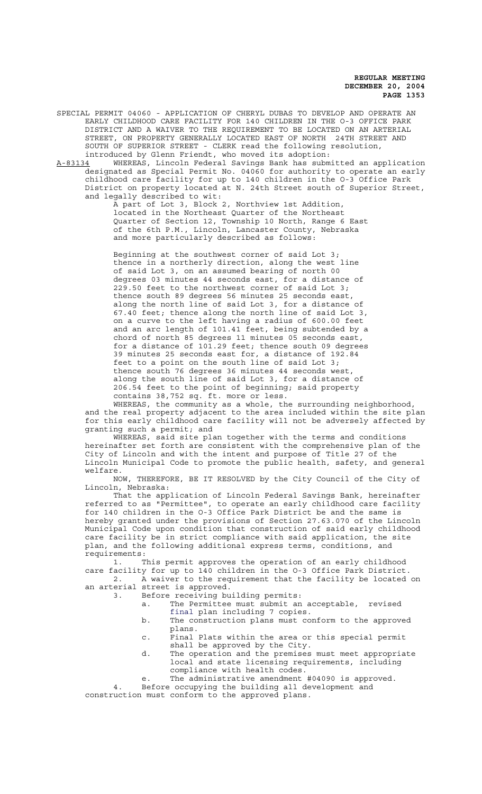SPECIAL PERMIT 04060 - APPLICATION OF CHERYL DUBAS TO DEVELOP AND OPERATE AN EARLY CHILDHOOD CARE FACILITY FOR 140 CHILDREN IN THE O-3 OFFICE PARK DISTRICT AND A WAIVER TO THE REQUIREMENT TO BE LOCATED ON AN ARTERIAL STREET, ON PROPERTY GENERALLY LOCATED EAST OF NORTH 24TH STREET AND SOUTH OF SUPERIOR STREET - CLERK read the following resolution, introduced by Glenn Friendt, who moved its adoption:

A-83134 WHEREAS, Lincoln Federal Savings Bank has submitted an application designated as Special Permit No. 04060 for authority to operate an early childhood care facility for up to 140 children in the O-3 Office Park District on property located at N. 24th Street south of Superior Street, and legally described to wit:

> A part of Lot 3, Block 2, Northview 1st Addition, located in the Northeast Quarter of the Northeast Quarter of Section 12, Township 10 North, Range 6 East of the 6th P.M., Lincoln, Lancaster County, Nebraska and more particularly described as follows:

> Beginning at the southwest corner of said Lot 3; thence in a northerly direction, along the west line of said Lot 3, on an assumed bearing of north 00 degrees 03 minutes 44 seconds east, for a distance of 229.50 feet to the northwest corner of said Lot 3; thence south 89 degrees 56 minutes 25 seconds east, along the north line of said Lot 3, for a distance of 67.40 feet; thence along the north line of said Lot 3, on a curve to the left having a radius of 600.00 feet and an arc length of 101.41 feet, being subtended by a chord of north 85 degrees 11 minutes 05 seconds east, for a distance of 101.29 feet; thence south 09 degrees 39 minutes 25 seconds east for, a distance of 192.84 feet to a point on the south line of said Lot 3; thence south 76 degrees 36 minutes 44 seconds west, along the south line of said Lot 3, for a distance of 206.54 feet to the point of beginning; said property contains 38,752 sq. ft. more or less.

WHEREAS, the community as a whole, the surrounding neighborhood, and the real property adjacent to the area included within the site plan for this early childhood care facility will not be adversely affected by granting such a permit; and

WHEREAS, said site plan together with the terms and conditions hereinafter set forth are consistent with the comprehensive plan of the City of Lincoln and with the intent and purpose of Title 27 of the Lincoln Municipal Code to promote the public health, safety, and general welfare.

NOW, THEREFORE, BE IT RESOLVED by the City Council of the City of Lincoln, Nebraska:

That the application of Lincoln Federal Savings Bank, hereinafter referred to as "Permittee", to operate an early childhood care facility for 140 children in the O-3 Office Park District be and the same is hereby granted under the provisions of Section 27.63.070 of the Lincoln Municipal Code upon condition that construction of said early childhood care facility be in strict compliance with said application, the site plan, and the following additional express terms, conditions, and requirements:

1. This permit approves the operation of an early childhood care facility for up to 140 children in the O-3 Office Park District. 2. A waiver to the requirement that the facility be located on an arterial street is approved.

3. Before receiving building permits:

- a. The Permittee must submit an acceptable, revised final plan including 7 copies.
- b. The construction plans must conform to the approved plans.
- c. Final Plats within the area or this special permit shall be approved by the City.
- d. The operation and the premises must meet appropriate local and state licensing requirements, including compliance with health codes.
- e. The administrative amendment #04090 is approved.

4. Before occupying the building all development and construction must conform to the approved plans.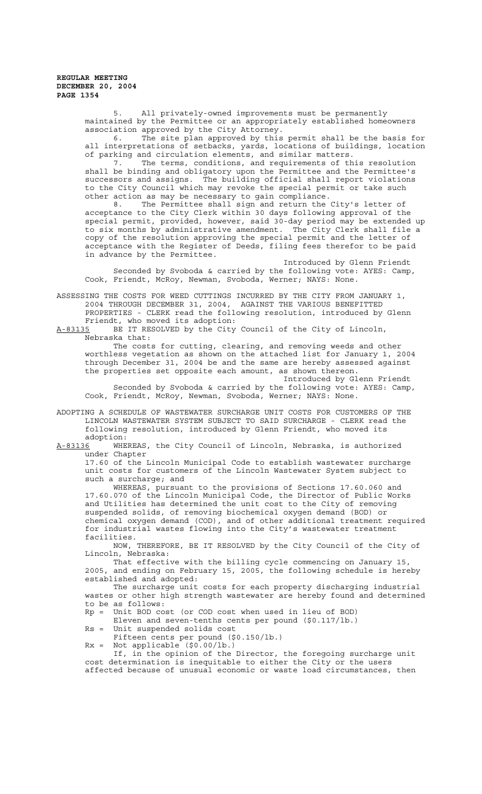> 5. All privately-owned improvements must be permanently maintained by the Permittee or an appropriately established homeowners association approved by the City Attorney.

6. The site plan approved by this permit shall be the basis for all interpretations of setbacks, yards, locations of buildings, location of parking and circulation elements, and similar matters.

7. The terms, conditions, and requirements of this resolution shall be binding and obligatory upon the Permittee and the Permittee's successors and assigns. The building official shall report violations to the City Council which may revoke the special permit or take such other action as may be necessary to gain compliance.

8. The Permittee shall sign and return the City's letter of acceptance to the City Clerk within 30 days following approval of the special permit, provided, however, said 30-day period may be extended up to six months by administrative amendment. The City Clerk shall file a copy of the resolution approving the special permit and the letter of acceptance with the Register of Deeds, filing fees therefor to be paid in advance by the Permittee.

Introduced by Glenn Friendt Seconded by Svoboda & carried by the following vote: AYES: Camp, Cook, Friendt, McRoy, Newman, Svoboda, Werner; NAYS: None.

ASSESSING THE COSTS FOR WEED CUTTINGS INCURRED BY THE CITY FROM JANUARY 1, 2004 THROUGH DECEMBER 31, 2004, AGAINST THE VARIOUS BENEFITTED PROPERTIES - CLERK read the following resolution, introduced by Glenn Friendt, who moved its adoption:<br>A-83135 BE IT RESOLVED by the City

BE IT RESOLVED by the City Council of the City of Lincoln, Nebraska that:

The costs for cutting, clearing, and removing weeds and other worthless vegetation as shown on the attached list for January 1, 2004 through December 31, 2004 be and the same are hereby assessed against the properties set opposite each amount, as shown thereon. Introduced by Glenn Friendt

Seconded by Svoboda & carried by the following vote: AYES: Camp, Cook, Friendt, McRoy, Newman, Svoboda, Werner; NAYS: None.

ADOPTING A SCHEDULE OF WASTEWATER SURCHARGE UNIT COSTS FOR CUSTOMERS OF THE LINCOLN WASTEWATER SYSTEM SUBJECT TO SAID SURCHARGE - CLERK read the following resolution, introduced by Glenn Friendt, who moved its adoption:

A-83136 WHEREAS, the City Council of Lincoln, Nebraska, is authorized under Chapter

17.60 of the Lincoln Municipal Code to establish wastewater surcharge unit costs for customers of the Lincoln Wastewater System subject to such a surcharge; and

WHEREAS, pursuant to the provisions of Sections 17.60.060 and 17.60.070 of the Lincoln Municipal Code, the Director of Public Works and Utilities has determined the unit cost to the City of removing suspended solids, of removing biochemical oxygen demand (BOD) or chemical oxygen demand (COD), and of other additional treatment required for industrial wastes flowing into the City's wastewater treatment facilities.

NOW, THEREFORE, BE IT RESOLVED by the City Council of the City of Lincoln, Nebraska:

That effective with the billing cycle commencing on January 15, 2005, and ending on February 15, 2005, the following schedule is hereby established and adopted:

The surcharge unit costs for each property discharging industrial wastes or other high strength wastewater are hereby found and determined to be as follows:

Rp = Unit BOD cost (or COD cost when used in lieu of BOD)

Eleven and seven-tenths cents per pound (\$0.117/lb.)

Rs = Unit suspended solids cost

Fifteen cents per pound (\$0.150/lb.)

 $Rx = Not applicable ( $\$0.00/lb$ .)$ 

If, in the opinion of the Director, the foregoing surcharge unit cost determination is inequitable to either the City or the users affected because of unusual economic or waste load circumstances, then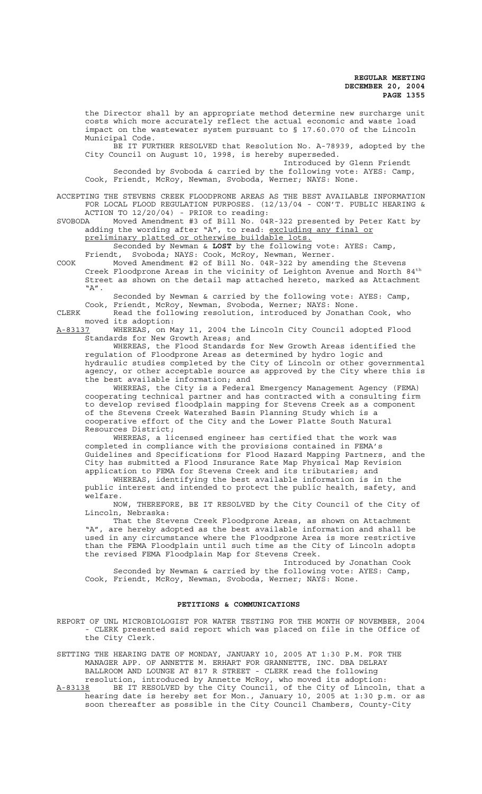the Director shall by an appropriate method determine new surcharge unit costs which more accurately reflect the actual economic and waste load impact on the wastewater system pursuant to § 17.60.070 of the Lincoln Municipal Code.

BE IT FURTHER RESOLVED that Resolution No. A-78939, adopted by the City Council on August 10, 1998, is hereby superseded.

 Introduced by Glenn Friendt Seconded by Svoboda & carried by the following vote: AYES: Camp, Cook, Friendt, McRoy, Newman, Svoboda, Werner; NAYS: None.

ACCEPTING THE STEVENS CREEK FLOODPRONE AREAS AS THE BEST AVAILABLE INFORMATION FOR LOCAL FLOOD REGULATION PURPOSES. (12/13/04 - CON'T. PUBLIC HEARING & ACTION TO 12/20/04) - PRIOR to reading:

SVOBODA Moved Amendment #3 of Bill No. 04R-322 presented by Peter Katt by adding the wording after "A", to read: excluding any final or preliminary platted or otherwise buildable lots.

Seconded by Newman & **LOST** by the following vote: AYES: Camp, Friendt, Svoboda; NAYS: Cook, McRoy, Newman, Werner.

COOK Moved Amendment #2 of Bill No. 04R-322 by amending the Stevens Creek Floodprone Areas in the vicinity of Leighton Avenue and North 84<sup>th</sup> Street as shown on the detail map attached hereto, marked as Attachment "A".

Seconded by Newman & carried by the following vote: AYES: Camp, Cook, Friendt, McRoy, Newman, Svoboda, Werner; NAYS: None.

CLERK Read the following resolution, introduced by Jonathan Cook, who moved its adoption:

A-83137 WHEREAS, on May 11, 2004 the Lincoln City Council adopted Flood Standards for New Growth Areas; and

WHEREAS, the Flood Standards for New Growth Areas identified the regulation of Floodprone Areas as determined by hydro logic and hydraulic studies completed by the City of Lincoln or other governmental agency, or other acceptable source as approved by the City where this is the best available information; and

WHEREAS, the City is a Federal Emergency Management Agency (FEMA) cooperating technical partner and has contracted with a consulting firm to develop revised floodplain mapping for Stevens Creek as a component of the Stevens Creek Watershed Basin Planning Study which is a cooperative effort of the City and the Lower Platte South Natural Resources District;

WHEREAS, a licensed engineer has certified that the work was completed in compliance with the provisions contained in FEMA's Guidelines and Specifications for Flood Hazard Mapping Partners, and the City has submitted a Flood Insurance Rate Map Physical Map Revision application to FEMA for Stevens Creek and its tributaries; and

WHEREAS, identifying the best available information is in the public interest and intended to protect the public health, safety, and welfare.

NOW, THEREFORE, BE IT RESOLVED by the City Council of the City of Lincoln, Nebraska:

That the Stevens Creek Floodprone Areas, as shown on Attachment "A", are hereby adopted as the best available information and shall be used in any circumstance where the Floodprone Area is more restrictive than the FEMA Floodplain until such time as the City of Lincoln adopts the revised FEMA Floodplain Map for Stevens Creek.

 Introduced by Jonathan Cook Seconded by Newman & carried by the following vote: AYES: Camp, Cook, Friendt, McRoy, Newman, Svoboda, Werner; NAYS: None.

# **PETITIONS & COMMUNICATIONS**

REPORT OF UNL MICROBIOLOGIST FOR WATER TESTING FOR THE MONTH OF NOVEMBER, 2004 - CLERK presented said report which was placed on file in the Office of the City Clerk.

SETTING THE HEARING DATE OF MONDAY, JANUARY 10, 2005 AT 1:30 P.M. FOR THE MANAGER APP. OF ANNETTE M. ERHART FOR GRANNETTE, INC. DBA DELRAY BALLROOM AND LOUNGE AT 817 R STREET - CLERK read the following resolution, introduced by Annette McRoy, who moved its adoption:

A-83138 BE IT RESOLVED by the City Council, of the City of Lincoln, that a hearing date is hereby set for Mon., January 10, 2005 at 1:30 p.m. or as soon thereafter as possible in the City Council Chambers, County-City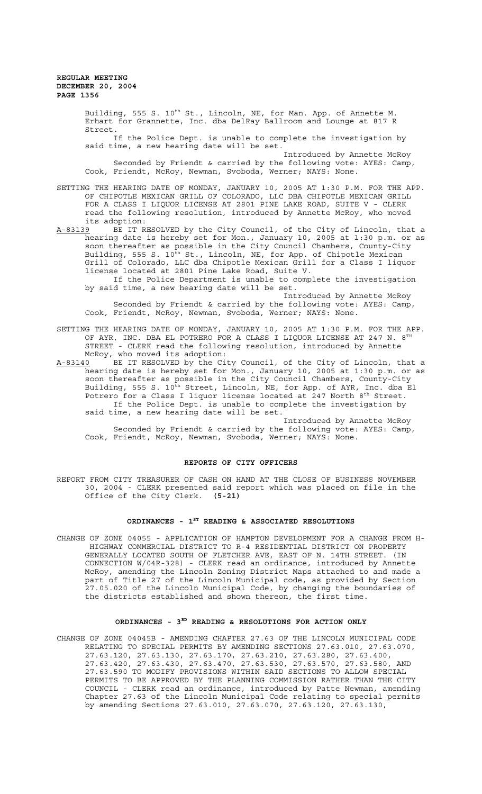Building, 555 S. 10<sup>th</sup> St., Lincoln, NE, for Man. App. of Annette M. Erhart for Grannette, Inc. dba DelRay Ballroom and Lounge at 817 R Street. If the Police Dept. is unable to complete the investigation by said time, a new hearing date will be set. Introduced by Annette McRoy Seconded by Friendt & carried by the following vote: AYES: Camp, Cook, Friendt, McRoy, Newman, Svoboda, Werner; NAYS: None.

- SETTING THE HEARING DATE OF MONDAY, JANUARY 10, 2005 AT 1:30 P.M. FOR THE APP. OF CHIPOTLE MEXICAN GRILL OF COLORADO, LLC DBA CHIPOTLE MEXICAN GRILL FOR A CLASS I LIQUOR LICENSE AT 2801 PINE LAKE ROAD, SUITE V - CLERK read the following resolution, introduced by Annette McRoy, who moved its adoption:<br><u>A-83139</u> BE IT R
- BE IT RESOLVED by the City Council, of the City of Lincoln, that a hearing date is hereby set for Mon., January 10, 2005 at 1:30 p.m. or as soon thereafter as possible in the City Council Chambers, County-City Building, 555 S. 10<sup>th</sup> St., Lincoln, NE, for App. of Chipotle Mexican Grill of Colorado, LLC dba Chipotle Mexican Grill for a Class I liquor license located at 2801 Pine Lake Road, Suite V.
	- If the Police Department is unable to complete the investigation by said time, a new hearing date will be set.

 Introduced by Annette McRoy Seconded by Friendt & carried by the following vote: AYES: Camp, Cook, Friendt, McRoy, Newman, Svoboda, Werner; NAYS: None.

- SETTING THE HEARING DATE OF MONDAY, JANUARY 10, 2005 AT 1:30 P.M. FOR THE APP. OF AYR, INC. DBA EL POTRERO FOR A CLASS I LIQUOR LICENSE AT 247 N.  $8^{\text{TH}}$ STREET - CLERK read the following resolution, introduced by Annette McRoy, who moved its adoption:
- A-83140 BE IT RESOLVED by the City Council, of the City of Lincoln, that a hearing date is hereby set for Mon., January 10, 2005 at 1:30 p.m. or as soon thereafter as possible in the City Council Chambers, County-City Building, 555 S. 10<sup>th</sup> Street, Lincoln, NE, for App. of AYR, Inc. dba El Potrero for a Class I liquor license located at 247 North  $8^{\text{th}}$  Street. If the Police Dept. is unable to complete the investigation by said time, a new hearing date will be set.

 Introduced by Annette McRoy Seconded by Friendt & carried by the following vote: AYES: Camp, Cook, Friendt, McRoy, Newman, Svoboda, Werner; NAYS: None.

#### **REPORTS OF CITY OFFICERS**

REPORT FROM CITY TREASURER OF CASH ON HAND AT THE CLOSE OF BUSINESS NOVEMBER 30, 2004 - CLERK presented said report which was placed on file in the Office of the City Clerk. **(5-21)**

# ORDINANCES - 1<sup>st</sup> READING & ASSOCIATED RESOLUTIONS

CHANGE OF ZONE 04055 - APPLICATION OF HAMPTON DEVELOPMENT FOR A CHANGE FROM H- HIGHWAY COMMERCIAL DISTRICT TO R-4 RESIDENTIAL DISTRICT ON PROPERTY GENERALLY LOCATED SOUTH OF FLETCHER AVE, EAST OF N. 14TH STREET. (IN CONNECTION W/04R-328) - CLERK read an ordinance, introduced by Annette McRoy, amending the Lincoln Zoning District Maps attached to and made a part of Title 27 of the Lincoln Municipal code, as provided by Section 27.05.020 of the Lincoln Municipal Code, by changing the boundaries of the districts established and shown thereon, the first time.

#### ORDINANCES - 3<sup>RD</sup> READING & RESOLUTIONS FOR ACTION ONLY

CHANGE OF ZONE 04045B - AMENDING CHAPTER 27.63 OF THE LINCOLN MUNICIPAL CODE RELATING TO SPECIAL PERMITS BY AMENDING SECTIONS 27.63.010, 27.63.070, 27.63.120, 27.63.130, 27.63.170, 27.63.210, 27.63.280, 27.63.400, 27.63.420, 27.63.430, 27.63.470, 27.63.530, 27.63.570, 27.63.580, AND 27.63.590 TO MODIFY PROVISIONS WITHIN SAID SECTIONS TO ALLOW SPECIAL PERMITS TO BE APPROVED BY THE PLANNING COMMISSION RATHER THAN THE CITY COUNCIL - CLERK read an ordinance, introduced by Patte Newman, amending Chapter 27.63 of the Lincoln Municipal Code relating to special permits by amending Sections 27.63.010, 27.63.070, 27.63.120, 27.63.130,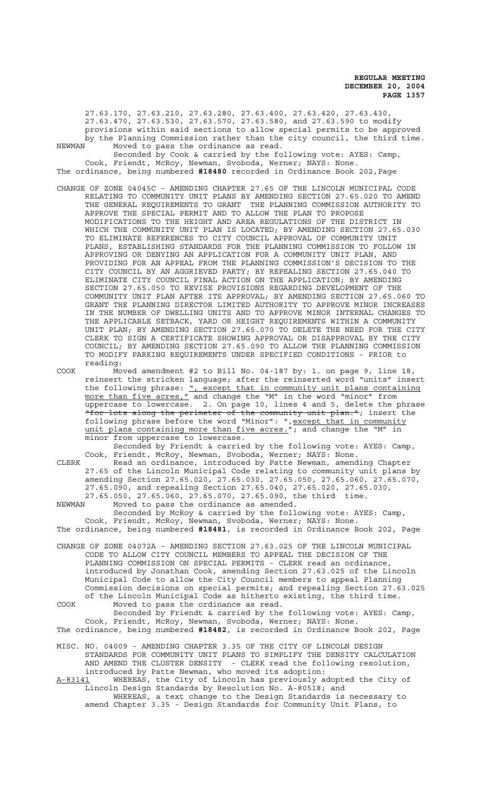27.63.170, 27.63.210, 27.63.280, 27.63.400, 27.63.420, 27.63.430, 27.63.470, 27.63.530, 27.63.570, 27.63.580, and 27.63.590 to modify provisions within said sections to allow special permits to be approved by the Planning Commission rather than the city council, the third time.<br>NEWMAN Moved to pass the ordinance as read

Moved to pass the ordinance as read. Seconded by Cook & carried by the following vote: AYES: Camp, Cook, Friendt, McRoy, Newman, Svoboda, Werner; NAYS: None. The ordinance, being numbered **#18480** recorded in Ordinance Book 202,Page

CHANGE OF ZONE 04045C - AMENDING CHAPTER 27.65 OF THE LINCOLN MUNICIPAL CODE

RELATING TO COMMUNITY UNIT PLANS BY AMENDING SECTION 27.65.020 TO AMEND THE GENERAL REQUIREMENTS TO GRANT THE PLANNING COMMISSION AUTHORITY TO APPROVE THE SPECIAL PERMIT AND TO ALLOW THE PLAN TO PROPOSE MODIFICATIONS TO THE HEIGHT AND AREA REGULATIONS OF THE DISTRICT IN WHICH THE COMMUNITY UNIT PLAN IS LOCATED; BY AMENDING SECTION 27.65.030 TO ELIMINATE REFERENCES TO CITY COUNCIL APPROVAL OF COMMUNITY UNIT PLANS, ESTABLISHING STANDARDS FOR THE PLANNING COMMISSION TO FOLLOW IN APPROVING OR DENYING AN APPLICATION FOR A COMMUNITY UNIT PLAN, AND PROVIDING FOR AN APPEAL FROM THE PLANNING COMMISSION'S DECISION TO THE CITY COUNCIL BY AN AGGRIEVED PARTY; BY REPEALING SECTION 27.65.040 TO ELIMINATE CITY COUNCIL FINAL ACTION ON THE APPLICATION; BY AMENDING SECTION 27.65.050 TO REVISE PROVISIONS REGARDING DEVELOPMENT OF THE COMMUNITY UNIT PLAN AFTER ITS APPROVAL; BY AMENDING SECTION 27.65.060 TO GRANT THE PLANNING DIRECTOR LIMITED AUTHORITY TO APPROVE MINOR INCREASES IN THE NUMBER OF DWELLING UNITS AND TO APPROVE MINOR INTERNAL CHANGES TO THE APPLICABLE SETBACK, YARD OR HEIGHT REQUIREMENTS WITHIN A COMMUNITY UNIT PLAN; BY AMENDING SECTION 27.65.070 TO DELETE THE NEED FOR THE CITY CLERK TO SIGN A CERTIFICATE SHOWING APPROVAL OR DISAPPROVAL BY THE CITY COUNCIL; BY AMENDING SECTION 27.65.090 TO ALLOW THE PLANNING COMMISSION TO MODIFY PARKING REQUIREMENTS UNDER SPECIFIED CONDITIONS - PRIOR to reading:

COOK Moved amendment #2 to Bill No. 04-187 by: 1. on page 9, line 18, reinsert the stricken language; after the reinserted word "units" insert the following phrase: ", except that in community unit plans containing more than five acres," and change the "M" in the word "minor" from uppercase to lowercase. 2. On page 10, lines 4 and 5, delete the phrase "for lots along the perimeter of the community unit plan."; insert the following phrase before the word "Minor": ", except that in community unit plans containing more than five acres."; and change the "M" in minor from uppercase to lowercase.

Seconded by Friendt & carried by the following vote: AYES: Camp, Cook, Friendt, McRoy, Newman, Svoboda, Werner; NAYS: None.

CLERK Read an ordinance, introduced by Patte Newman, amending Chapter 27.65 of the Lincoln Municipal Code relating to community unit plans by amending Section 27.65.020, 27.65.030, 27.65.050, 27.65.060, 27.65.070, 27.65.090, and repealing Section 27.65.040, 27.65.020, 27.65.030, 27.65.050, 27.65.060, 27.65.070, 27.65.090, the third time.

NEWMAN Moved to pass the ordinance as amended. Seconded by McRoy & carried by the following vote: AYES: Camp, Cook, Friendt, McRoy, Newman, Svoboda, Werner; NAYS: None. The ordinance, being numbered **#18481**, is recorded in Ordinance Book 202, Page

CHANGE OF ZONE 04072A - AMENDING SECTION 27.63.025 OF THE LINCOLN MUNICIPAL CODE TO ALLOW CITY COUNCIL MEMBERS TO APPEAL THE DECISION OF THE PLANNING COMMISSION ON SPECIAL PERMITS - CLERK read an ordinance, introduced by Jonathan Cook, amending Section 27.63.025 of the Lincoln Municipal Code to allow the City Council members to appeal Planning Commission decisions on special permits; and repealing Section 27.63.025 of the Lincoln Municipal Code as hitherto existing, the third time.

COOK Moved to pass the ordinance as read. Seconded by Friendt & carried by the following vote: AYES: Camp, Cook, Friendt, McRoy, Newman, Svoboda, Werner; NAYS: None. The ordinance, being numbered **#18482**, is recorded in Ordinance Book 202, Page

MISC. NO. 04009 - AMENDING CHAPTER 3.35 OF THE CITY OF LINCOLN DESIGN STANDARDS FOR COMMUNITY UNIT PLANS TO SIMPLIFY THE DENSITY CALCULATION AND AMEND THE CLUSTER DENSITY - CLERK read the following resolution, introduced by Patte Newman, who moved its adoption:

A-83141 WHEREAS, the City of Lincoln has previously adopted the City of Lincoln Design Standards by Resolution No. A-80518; and WHEREAS, a text change to the Design Standards is necessary to

amend Chapter 3.35 - Design Standards for Community Unit Plans, to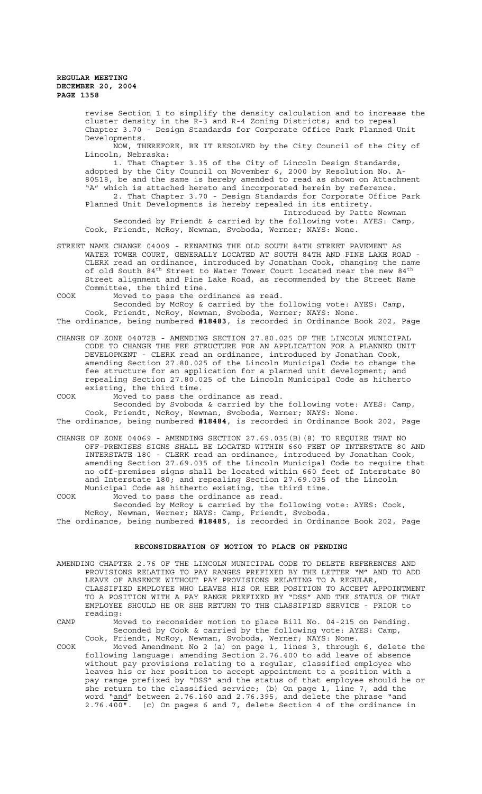revise Section 1 to simplify the density calculation and to increase the cluster density in the R-3 and R-4 Zoning Districts; and to repeal Chapter 3.70 - Design Standards for Corporate Office Park Planned Unit Developments.

NOW, THEREFORE, BE IT RESOLVED by the City Council of the City of Lincoln, Nebraska:

1. That Chapter 3.35 of the City of Lincoln Design Standards, adopted by the City Council on November 6, 2000 by Resolution No. A-80518, be and the same is hereby amended to read as shown on Attachment "A" which is attached hereto and incorporated herein by reference.

2. That Chapter 3.70 - Design Standards for Corporate Office Park Planned Unit Developments is hereby repealed in its entirety. Introduced by Patte Newman

Seconded by Friendt & carried by the following vote: AYES: Camp, Cook, Friendt, McRoy, Newman, Svoboda, Werner; NAYS: None.

STREET NAME CHANGE 04009 - RENAMING THE OLD SOUTH 84TH STREET PAVEMENT AS WATER TOWER COURT, GENERALLY LOCATED AT SOUTH 84TH AND PINE LAKE ROAD - CLERK read an ordinance, introduced by Jonathan Cook, changing the name of old South  $84^{\text{th}}$  Street to Water Tower Court located near the new  $84^{\text{th}}$ Street alignment and Pine Lake Road, as recommended by the Street Name Committee, the third time.

COOK Moved to pass the ordinance as read.

Seconded by McRoy & carried by the following vote: AYES: Camp, Cook, Friendt, McRoy, Newman, Svoboda, Werner; NAYS: None. The ordinance, being numbered **#18483**, is recorded in Ordinance Book 202, Page

CHANGE OF ZONE 04072B - AMENDING SECTION 27.80.025 OF THE LINCOLN MUNICIPAL CODE TO CHANGE THE FEE STRUCTURE FOR AN APPLICATION FOR A PLANNED UNIT DEVELOPMENT - CLERK read an ordinance, introduced by Jonathan Cook, amending Section 27.80.025 of the Lincoln Municipal Code to change the fee structure for an application for a planned unit development; and repealing Section 27.80.025 of the Lincoln Municipal Code as hitherto existing, the third time.

COOK Moved to pass the ordinance as read. Seconded by Svoboda & carried by the following vote: AYES: Camp, Cook, Friendt, McRoy, Newman, Svoboda, Werner; NAYS: None.

The ordinance, being numbered **#18484**, is recorded in Ordinance Book 202, Page

CHANGE OF ZONE 04069 - AMENDING SECTION 27.69.035(B)(8) TO REQUIRE THAT NO OFF-PREMISES SIGNS SHALL BE LOCATED WITHIN 660 FEET OF INTERSTATE 80 AND INTERSTATE 180 - CLERK read an ordinance, introduced by Jonathan Cook, amending Section 27.69.035 of the Lincoln Municipal Code to require that no off-premises signs shall be located within 660 feet of Interstate 80 and Interstate 180; and repealing Section 27.69.035 of the Lincoln Municipal Code as hitherto existing, the third time.

COOK Moved to pass the ordinance as read. Seconded by McRoy & carried by the following vote: AYES: Cook, McRoy, Newman, Werner; NAYS: Camp, Friendt, Svoboda.

The ordinance, being numbered **#18485**, is recorded in Ordinance Book 202, Page

# **RECONSIDERATION OF MOTION TO PLACE ON PENDING**

AMENDING CHAPTER 2.76 OF THE LINCOLN MUNICIPAL CODE TO DELETE REFERENCES AND PROVISIONS RELATING TO PAY RANGES PREFIXED BY THE LETTER "M" AND TO ADD LEAVE OF ABSENCE WITHOUT PAY PROVISIONS RELATING TO A REGULAR, CLASSIFIED EMPLOYEE WHO LEAVES HIS OR HER POSITION TO ACCEPT APPOINTMENT TO A POSITION WITH A PAY RANGE PREFIXED BY "DSS" AND THE STATUS OF THAT EMPLOYEE SHOULD HE OR SHE RETURN TO THE CLASSIFIED SERVICE - PRIOR to reading:

CAMP Moved to reconsider motion to place Bill No. 04-215 on Pending. Seconded by Cook & carried by the following vote: AYES: Camp, Cook, Friendt, McRoy, Newman, Svoboda, Werner; NAYS: None.

COOK Moved Amendment No 2 (a) on page 1, lines 3, through 6, delete the following language: amending Section 2.76.400 to add leave of absence without pay provisions relating to a regular, classified employee who leaves his or her position to accept appointment to a position with a pay range prefixed by "DSS" and the status of that employee should he or she return to the classified service; (b) On page 1, line 7, add the word "<u>and</u>" between 2.76.160 and 2.76.395, and delete the phrase "and 2.76.400". (c) On pages 6 and 7, delete Section 4 of the ordinance in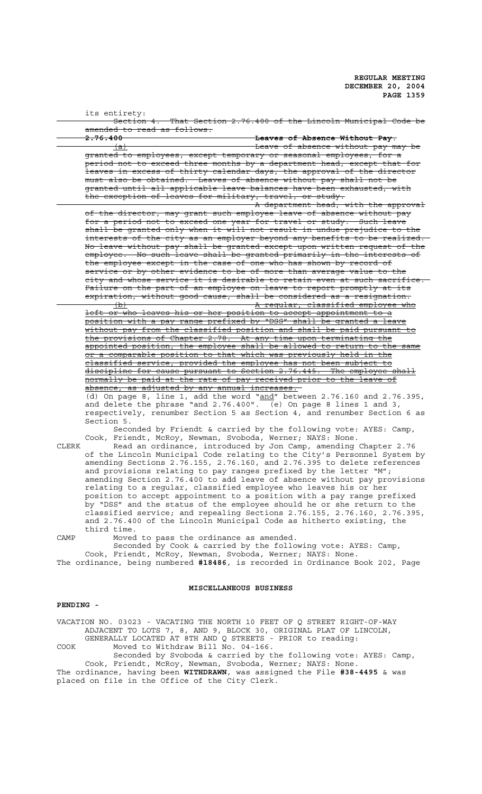|       | its entirety:                                                                                                                               |
|-------|---------------------------------------------------------------------------------------------------------------------------------------------|
|       | Section 4. That Section 2.76.400 of the Lincoln Municipal Code be                                                                           |
|       | <del>amended to read as follows:</del>                                                                                                      |
|       | <del>2.76.400</del><br>Leaves of Absence Without Pay.                                                                                       |
|       | Leave of absence without pay may be<br>(a)                                                                                                  |
|       | granted to employees, except temporary or seasonal employees, for a                                                                         |
|       | period not to exceed three months by a department head, except that for                                                                     |
|       | leaves in excess of thirty calendar days, the approval of the director                                                                      |
|       | must also be obtained. Leaves of absence without pay shall not be                                                                           |
|       | granted until all applicable leave balances have been exhausted, with                                                                       |
|       | the exception of leaves for military, travel, or study.                                                                                     |
|       | A department head, with the approval                                                                                                        |
|       | of the director, may grant such employee leave of absence without pay                                                                       |
|       | for a period not to exceed one year for travel or study. Such leave                                                                         |
|       | shall be granted only when it will not result in undue prejudice to the                                                                     |
|       | interests of the city as an employer beyond any benefits to be realized.                                                                    |
|       | No leave without pay shall be granted except upon written request of the                                                                    |
|       | employee. No such leave shall be granted primarily in the interests of                                                                      |
|       | the employee except in the case of one who has shown by record of                                                                           |
|       | service or by other evidence to be of more than average value to the                                                                        |
|       | city and whose service it is desirable to retain even at such sacrifice.                                                                    |
|       | Failure on the part of an employee on leave to report promptly at its                                                                       |
|       | expiration, without good cause, shall be considered as a resignation.                                                                       |
|       |                                                                                                                                             |
|       | A reqular, classified employee who<br>$\Theta$                                                                                              |
|       | left or who leaves his or her position to accept appointment to a<br>position with a pay range prefixed by "DSS" shall be granted a leave   |
|       |                                                                                                                                             |
|       | without pay from the classified position and shall be paid pursuant to                                                                      |
|       | the provisions of Chapter 2.78. At any time upon terminating the                                                                            |
|       | appointed position, the employee shall be allowed to return to the same                                                                     |
|       | or a comparable position to that which was previously held in the                                                                           |
|       | classified service, provided the employee has not been subject to                                                                           |
|       | discipline for cause pursuant to Section 2.76.445. The employee shall<br>normally be paid at the rate of pay received prior to the leave of |
|       |                                                                                                                                             |
|       | absence, as adjusted by any annual increases.                                                                                               |
|       | (d) On page 8, line 1, add the word " $and''$ between 2.76.160 and 2.76.395,                                                                |
|       | and delete the phrase "and 2.76.400". (e) On page 8 lines 1 and 3,                                                                          |
|       | respectively, renumber Section 5 as Section 4, and renumber Section 6 as                                                                    |
| CLERK | Section 5.                                                                                                                                  |
|       | Seconded by Friendt & carried by the following vote: AYES: Camp,                                                                            |
|       | Cook, Friendt, McRoy, Newman, Svoboda, Werner; NAYS: None.                                                                                  |
|       | Read an ordinance, introduced by Jon Camp, amending Chapter 2.76                                                                            |
|       | of the Lincoln Municipal Code relating to the City's Personnel System by                                                                    |
|       | amending Sections 2.76.155, 2.76.160, and 2.76.395 to delete references                                                                     |
|       | and provisions relating to pay ranges prefixed by the letter "M";                                                                           |
|       | amending Section 2.76.400 to add leave of absence without pay provisions                                                                    |
|       | relating to a regular, classified employee who leaves his or her                                                                            |
|       | position to accept appointment to a position with a pay range prefixed                                                                      |
|       | by "DSS" and the status of the employee should he or she return to the                                                                      |
|       | classified service; and repealing Sections 2.76.155, 2.76.160, 2.76.395,                                                                    |
|       | and 2.76.400 of the Lincoln Municipal Code as hitherto existing, the                                                                        |

third time. CAMP Moved to pass the ordinance as amended. Seconded by Cook & carried by the following vote: AYES: Camp,

Cook, Friendt, McRoy, Newman, Svoboda, Werner; NAYS: None. The ordinance, being numbered **#18486**, is recorded in Ordinance Book 202, Page

# **MISCELLANEOUS BUSINESS**

# **PENDING -**

VACATION NO. 03023 - VACATING THE NORTH 10 FEET OF Q STREET RIGHT-OF-WAY ADJACENT TO LOTS 7, 8, AND 9, BLOCK 30, ORIGINAL PLAT OF LINCOLN, GENERALLY LOCATED AT 8TH AND Q STREETS - PRIOR to reading: COOK Moved to Withdraw Bill No. 04-166.

Seconded by Svoboda & carried by the following vote: AYES: Camp, Cook, Friendt, McRoy, Newman, Svoboda, Werner; NAYS: None. The ordinance, having been **WITHDRAWN**, was assigned the File **#38-4495** & was placed on file in the Office of the City Clerk.